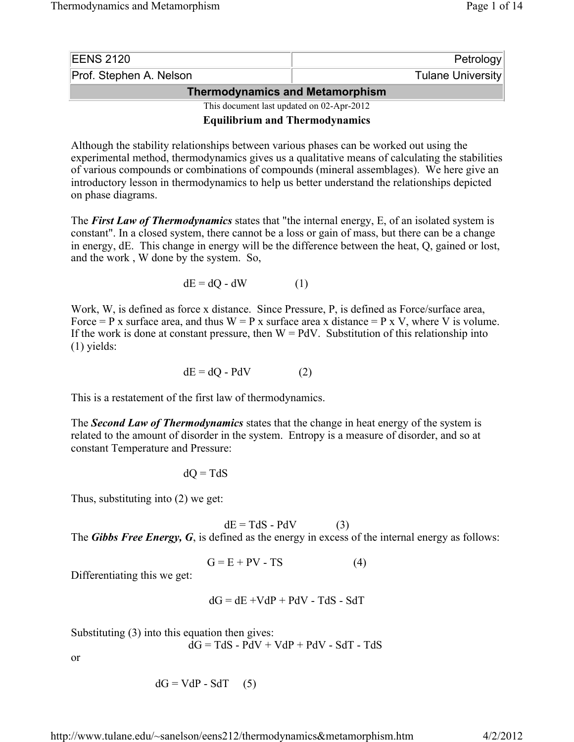| <b>EENS 2120</b>                          | Petrology         |  |  |  |
|-------------------------------------------|-------------------|--|--|--|
| Prof. Stephen A. Nelson                   | Tulane University |  |  |  |
| <b>Thermodynamics and Metamorphism</b>    |                   |  |  |  |
| This document last updated on 02-Apr-2012 |                   |  |  |  |

**Equilibrium and Thermodynamics**

Although the stability relationships between various phases can be worked out using the experimental method, thermodynamics gives us a qualitative means of calculating the stabilities of various compounds or combinations of compounds (mineral assemblages). We here give an introductory lesson in thermodynamics to help us better understand the relationships depicted on phase diagrams.

The *First Law of Thermodynamics* states that "the internal energy, E, of an isolated system is constant". In a closed system, there cannot be a loss or gain of mass, but there can be a change in energy, dE. This change in energy will be the difference between the heat, Q, gained or lost, and the work , W done by the system. So,

$$
dE = dQ - dW \tag{1}
$$

Work, W, is defined as force x distance. Since Pressure, P, is defined as Force/surface area, Force = P x surface area, and thus  $W = P x$  surface area x distance = P x V, where V is volume. If the work is done at constant pressure, then  $W = PdV$ . Substitution of this relationship into (1) yields:

$$
dE = dQ - PdV \tag{2}
$$

This is a restatement of the first law of thermodynamics.

The *Second Law of Thermodynamics* states that the change in heat energy of the system is related to the amount of disorder in the system. Entropy is a measure of disorder, and so at constant Temperature and Pressure:

$$
dQ = TdS
$$

Thus, substituting into (2) we get:

 $dE = TdS - PdV$  (3) The *Gibbs Free Energy, G*, is defined as the energy in excess of the internal energy as follows:

$$
G = E + PV - TS \tag{4}
$$

Differentiating this we get:

$$
dG = dE + VdP + PdV - TdS - SdT
$$

Substituting (3) into this equation then gives:

 $dG = TdS - PdV + VdP + PdV - SdT - TdS$ 

or

$$
dG = VdP - SdT \quad (5)
$$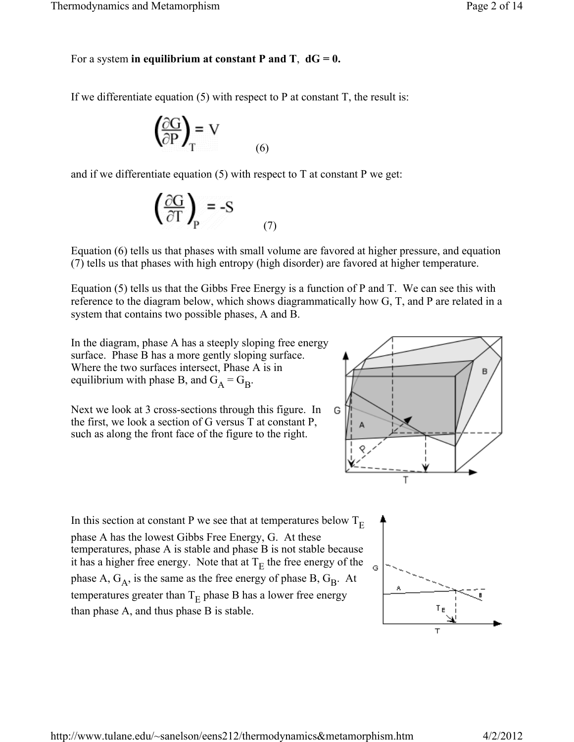# For a system in equilibrium at constant P and T,  $dG = 0$ .

If we differentiate equation  $(5)$  with respect to P at constant T, the result is:

$$
\left(\frac{\partial G}{\partial P}\right)_{T} = V
$$
 (6)

and if we differentiate equation  $(5)$  with respect to T at constant P we get:

$$
\left(\frac{\partial G}{\partial T}\right)_P = -S \tag{7}
$$

Equation (6) tells us that phases with small volume are favored at higher pressure, and equation (7) tells us that phases with high entropy (high disorder) are favored at higher temperature.

Equation (5) tells us that the Gibbs Free Energy is a function of P and T. We can see this with reference to the diagram below, which shows diagrammatically how G, T, and P are related in a system that contains two possible phases, A and B.

In the diagram, phase A has a steeply sloping free energy surface. Phase B has a more gently sloping surface. Where the two surfaces intersect, Phase A is in equilibrium with phase B, and  $G_A = G_B$ .

Next we look at 3 cross-sections through this figure. In the first, we look a section of G versus T at constant P, such as along the front face of the figure to the right.



In this section at constant P we see that at temperatures below  $T_E$ phase A has the lowest Gibbs Free Energy, G. At these temperatures, phase A is stable and phase B is not stable because it has a higher free energy. Note that at  $T_E$  the free energy of the phase A,  $G_A$ , is the same as the free energy of phase B,  $G_B$ . At temperatures greater than  $T_E$  phase B has a lower free energy than phase A, and thus phase B is stable.

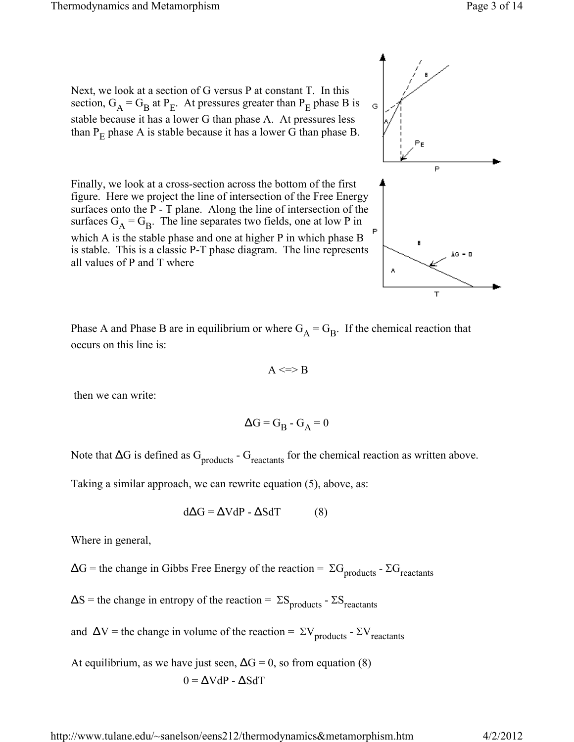Next, we look at a section of G versus P at constant T. In this section,  $G_A = G_B$  at P<sub>E</sub>. At pressures greater than P<sub>E</sub> phase B is stable because it has a lower G than phase A. At pressures less than  $P_E$  phase A is stable because it has a lower G than phase B.

Finally, we look at a cross-section across the bottom of the first figure. Here we project the line of intersection of the Free Energy surfaces onto the P - T plane. Along the line of intersection of the surfaces  $G_A = G_B$ . The line separates two fields, one at low P in which A is the stable phase and one at higher P in which phase B is stable. This is a classic P-T phase diagram. The line represents all values of P and T where



$$
A < \Rightarrow B
$$

then we can write:

$$
\Delta G = G_B - G_A = 0
$$

Note that  $\Delta G$  is defined as  $G_{\text{products}}$  -  $G_{\text{reactants}}$  for the chemical reaction as written above.

Taking a similar approach, we can rewrite equation (5), above, as:

$$
d\Delta G = \Delta V dP - \Delta S dT \tag{8}
$$

Where in general,

 $\Delta G$  = the change in Gibbs Free Energy of the reaction =  $\Sigma G$ <sub>products</sub> -  $\Sigma G$ <sub>reactants</sub>

 $\Delta S$  = the change in entropy of the reaction =  $\Sigma S$ <sub>products</sub> -  $\Sigma S$ <sub>reactants</sub>

and  $\Delta V$  = the change in volume of the reaction =  $\Sigma V$ <sub>products</sub> -  $\Sigma V$ <sub>reactants</sub>

At equilibrium, as we have just seen,  $\Delta G = 0$ , so from equation (8)  $0 = \Delta VdP - \Delta SdT$ 

http://www.tulane.edu/~sanelson/eens212/thermodynamics&metamorphism.htm 4/2/2012



Ġ

A

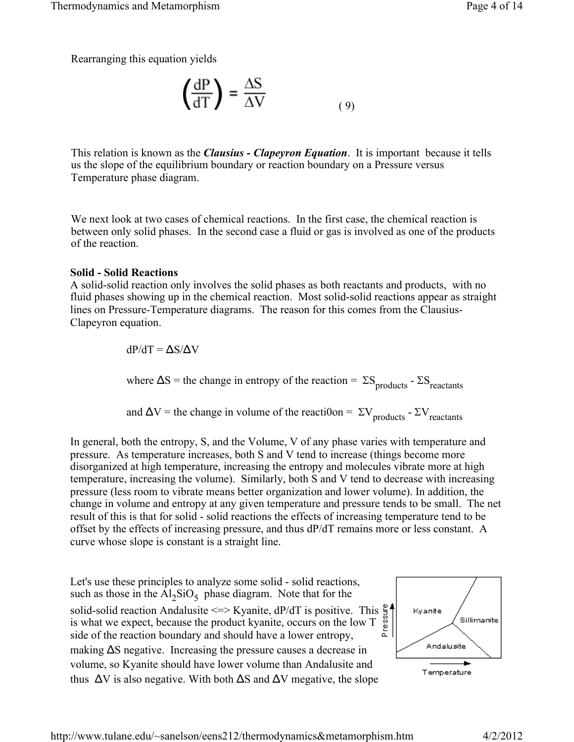Rearranging this equation yields

$$
\left(\frac{\text{dP}}{\text{dT}}\right) = \frac{\Delta S}{\Delta V} \tag{9}
$$

This relation is known as the *Clausius - Clapeyron Equation*. It is important because it tells us the slope of the equilibrium boundary or reaction boundary on a Pressure versus Temperature phase diagram.

We next look at two cases of chemical reactions. In the first case, the chemical reaction is between only solid phases. In the second case a fluid or gas is involved as one of the products of the reaction.

#### **Solid - Solid Reactions**

A solid-solid reaction only involves the solid phases as both reactants and products, with no fluid phases showing up in the chemical reaction. Most solid-solid reactions appear as straight lines on Pressure-Temperature diagrams. The reason for this comes from the Clausius-Clapeyron equation.

dP/dT = ΔS/ΔV

where  $\Delta S$  = the change in entropy of the reaction =  $\Sigma S$ <sub>products</sub> -  $\Sigma S$ <sub>reactants</sub>

and  $\Delta V$  = the change in volume of the reaction =  $\Sigma V$ <sub>products</sub> -  $\Sigma V$ <sub>reactants</sub>

In general, both the entropy, S, and the Volume, V of any phase varies with temperature and pressure. As temperature increases, both S and V tend to increase (things become more disorganized at high temperature, increasing the entropy and molecules vibrate more at high temperature, increasing the volume). Similarly, both S and V tend to decrease with increasing pressure (less room to vibrate means better organization and lower volume). In addition, the change in volume and entropy at any given temperature and pressure tends to be small. The net result of this is that for solid - solid reactions the effects of increasing temperature tend to be offset by the effects of increasing pressure, and thus dP/dT remains more or less constant. A curve whose slope is constant is a straight line.

Let's use these principles to analyze some solid - solid reactions, such as those in the  $Al_2SiO_5$  phase diagram. Note that for the solid-solid reaction Andalusite  $\leq$   $\geq$  Kyanite, dP/dT is positive. This  $\frac{8}{8}$  is what we expect, because the product kyanite, occurs on the low T side of the reaction boundary and should have a lower entropy. is what we expect, because the product kyanite, occurs on the low T side of the reaction boundary and should have a lower entropy, making  $\Delta S$  negative. Increasing the pressure causes a decrease in volume, so Kyanite should have lower volume than Andalusite and thus  $\Delta V$  is also negative. With both  $\Delta S$  and  $\Delta V$  megative, the slope

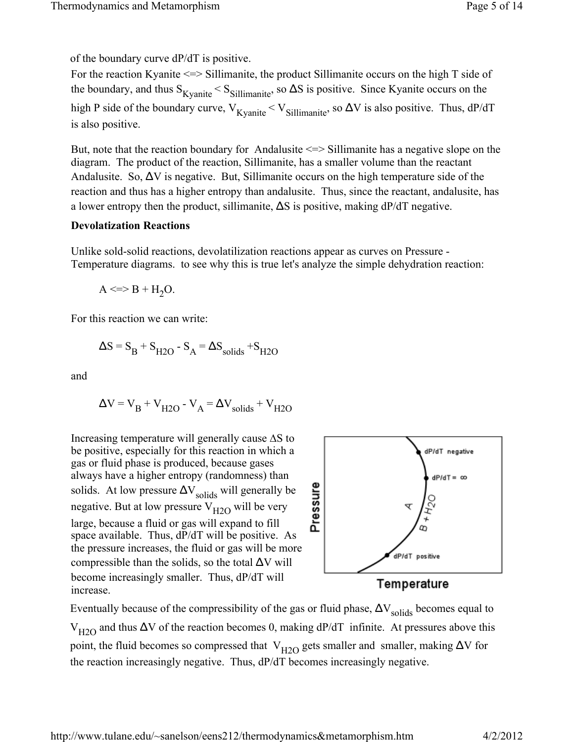of the boundary curve dP/dT is positive.

For the reaction Kyanite <=> Sillimanite, the product Sillimanite occurs on the high T side of the boundary, and thus  $S_{Kyanite} < S_{Sillimanite}$ , so  $\Delta S$  is positive. Since Kyanite occurs on the high P side of the boundary curve,  $V_{Kyanite} < V_{Sillimanite}$ , so  $\Delta V$  is also positive. Thus, dP/dT is also positive.

But, note that the reaction boundary for Andalusite <=> Sillimanite has a negative slope on the diagram. The product of the reaction, Sillimanite, has a smaller volume than the reactant Andalusite. So,  $\Delta V$  is negative. But, Sillimanite occurs on the high temperature side of the reaction and thus has a higher entropy than andalusite. Thus, since the reactant, andalusite, has a lower entropy then the product, sillimanite,  $\Delta S$  is positive, making  $dP/dT$  negative.

### **Devolatization Reactions**

Unlike sold-solid reactions, devolatilization reactions appear as curves on Pressure - Temperature diagrams. to see why this is true let's analyze the simple dehydration reaction:

$$
A \le B + H_2 O.
$$

For this reaction we can write:

$$
\Delta S = S_B + S_{H2O} - S_A = \Delta S_{solids} + S_{H2O}
$$

and

$$
\Delta V = V_B + V_{H2O} - V_A = \Delta V_{solids} + V_{H2O}
$$

Increasing temperature will generally cause  $\Delta S$  to be positive, especially for this reaction in which a gas or fluid phase is produced, because gases always have a higher entropy (randomness) than solids. At low pressure  $\Delta V_{\text{solids}}$  will generally be negative. But at low pressure  $V_{H2O}$  will be very large, because a fluid or gas will expand to fill space available. Thus, dP/dT will be positive. As the pressure increases, the fluid or gas will be more compressible than the solids, so the total  $\Delta V$  will become increasingly smaller. Thus, dP/dT will increase.



Temperature

Eventually because of the compressibility of the gas or fluid phase,  $\Delta V_{\text{solids}}$  becomes equal to  $V_{H2O}$  and thus  $\Delta V$  of the reaction becomes 0, making dP/dT infinite. At pressures above this point, the fluid becomes so compressed that  $V_{H2O}$  gets smaller and smaller, making  $\Delta V$  for the reaction increasingly negative. Thus, dP/dT becomes increasingly negative.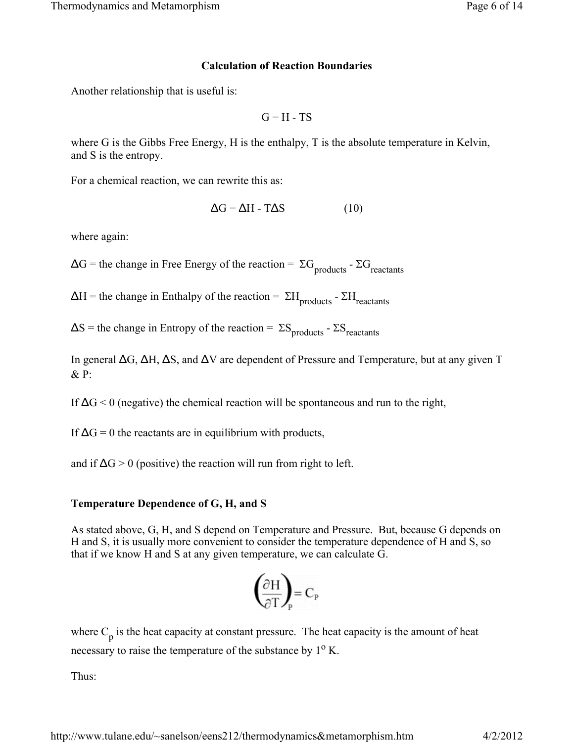### **Calculation of Reaction Boundaries**

Another relationship that is useful is:

 $G = H - TS$ 

where G is the Gibbs Free Energy, H is the enthalpy, T is the absolute temperature in Kelvin, and S is the entropy.

For a chemical reaction, we can rewrite this as:

$$
\Delta G = \Delta H - T\Delta S \tag{10}
$$

where again:

 $\Delta G$  = the change in Free Energy of the reaction =  $\Sigma G$ <sub>products</sub> -  $\Sigma G$ <sub>reactants</sub>

 $\Delta H$  = the change in Enthalpy of the reaction =  $\Sigma H_{\text{products}}$  -  $\Sigma H_{\text{reactants}}$ 

 $\Delta S$  = the change in Entropy of the reaction =  $\Sigma S$ <sub>products</sub> -  $\Sigma S$ <sub>reactants</sub>

In general ΔG, ΔH, ΔS, and ΔV are dependent of Pressure and Temperature, but at any given T & P:

If  $\Delta G$  < 0 (negative) the chemical reaction will be spontaneous and run to the right,

If  $\Delta G = 0$  the reactants are in equilibrium with products,

and if  $\Delta G > 0$  (positive) the reaction will run from right to left.

## **Temperature Dependence of G, H, and S**

As stated above, G, H, and S depend on Temperature and Pressure. But, because G depends on H and S, it is usually more convenient to consider the temperature dependence of H and S, so that if we know H and S at any given temperature, we can calculate G.

$$
\left(\frac{\partial H}{\partial T}\right)_{P} = C_{P}
$$

where  $C_p$  is the heat capacity at constant pressure. The heat capacity is the amount of heat necessary to raise the temperature of the substance by  $1<sup>o</sup>$  K.

Thus: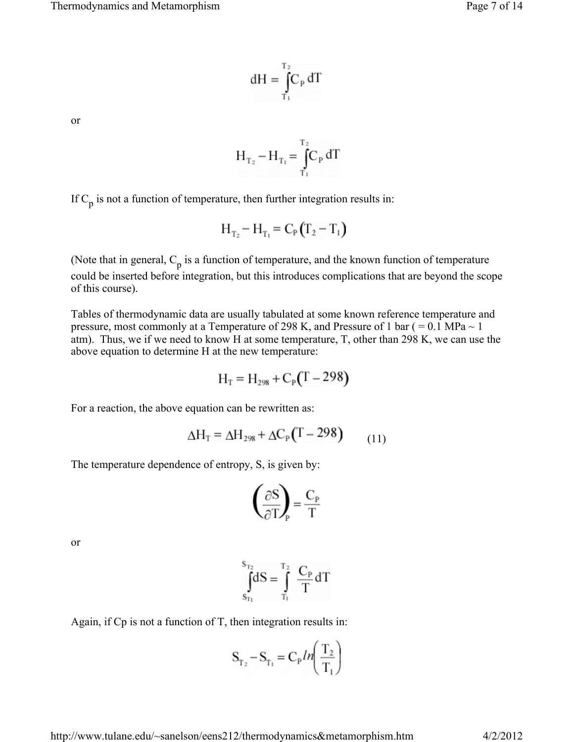$$
dH=\int_{T_1}^{T_2}\!\!\!C_{\rm P}\,dT
$$

or

$$
H_{T_2} - H_{T_1} = \int_{T_1}^{T_2} C_P dT
$$

If  $C_p$  is not a function of temperature, then further integration results in:

$$
H_{T_2} - H_{T_1} = C_P (T_2 - T_1)
$$

(Note that in general,  $C_p$  is a function of temperature, and the known function of temperature could be inserted before integration, but this introduces complications that are beyond the scope of this course).

Tables of thermodynamic data are usually tabulated at some known reference temperature and pressure, most commonly at a Temperature of 298 K, and Pressure of 1 bar ( $= 0.1$  MPa  $\sim 1$ ) atm). Thus, we if we need to know H at some temperature, T, other than 298 K, we can use the above equation to determine H at the new temperature:

$$
H_T = H_{298} + C_P (T - 298)
$$

For a reaction, the above equation can be rewritten as:

$$
\Delta H_{\rm T} = \Delta H_{298} + \Delta C_{\rm P} (T - 298) \tag{11}
$$

The temperature dependence of entropy, S, is given by:

$$
\left(\frac{\partial S}{\partial T}\right) = \frac{C_{p}}{T}
$$

or

$$
\int_{S_{T_1}}^{S_{T_2}} dS = \int_{T_1}^{T_2} \frac{C_P}{T} dT
$$

Again, if Cp is not a function of T, then integration results in:

$$
\mathbf{S}_{\mathrm{T}_2} - \mathbf{S}_{\mathrm{T}_1} = \mathbf{C}_{\mathrm{P}} \ln \left( \frac{\mathrm{T}_2}{\mathrm{T}_1} \right)
$$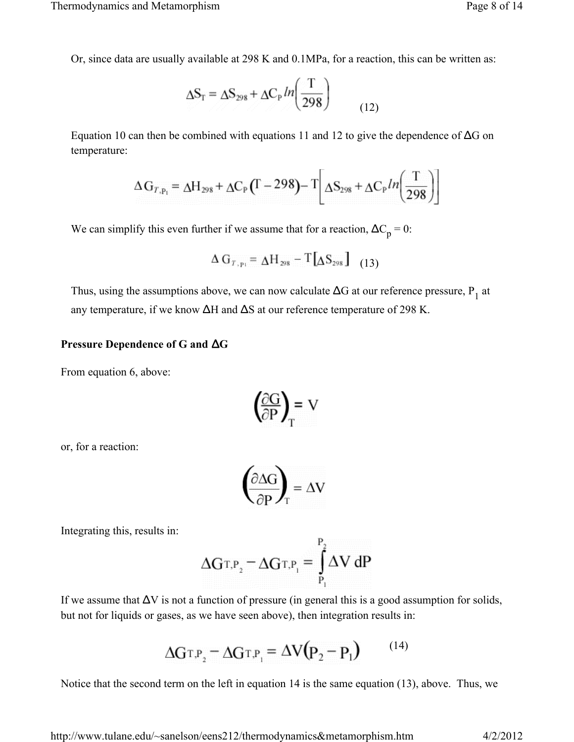Or, since data are usually available at 298 K and 0.1MPa, for a reaction, this can be written as:

$$
\Delta S_{T} = \Delta S_{298} + \Delta C_{P} ln\left(\frac{T}{298}\right)
$$
 (12)

Equation 10 can then be combined with equations 11 and 12 to give the dependence of  $\Delta G$  on temperature:

$$
\Delta G_{T,p_1} = \Delta H_{298} + \Delta C_P (T - 298) - T \Delta S_{298} + \Delta C_P ln \left( \frac{T}{298} \right)
$$

We can simplify this even further if we assume that for a reaction,  $\Delta C_p = 0$ :

$$
\Delta G_{T, p_1} = \Delta H_{298} - T[\Delta S_{298}] \quad (13)
$$

Thus, using the assumptions above, we can now calculate  $\Delta G$  at our reference pressure,  $P_1$  at any temperature, if we know ΔH and ΔS at our reference temperature of 298 K.

#### **Pressure Dependence of G and** Δ**G**

From equation 6, above:

$$
\left(\frac{\partial G}{\partial P}\right)_{T} = V
$$

or, for a reaction:

$$
\left(\frac{\partial \Delta G}{\partial P}\right)_{T} = \Delta V
$$

Integrating this, results in:

$$
\Delta G_{T,P_2} = \Delta G_{T,P_1} = \int_{P_1}^{P_2} \Delta V \, dP
$$

If we assume that  $\Delta V$  is not a function of pressure (in general this is a good assumption for solids, but not for liquids or gases, as we have seen above), then integration results in:

$$
\Delta G_{\text{T,P}_2} - \Delta G_{\text{T,P}_1} = \Delta V (P_2 - P_1) \qquad (14)
$$

Notice that the second term on the left in equation 14 is the same equation (13), above. Thus, we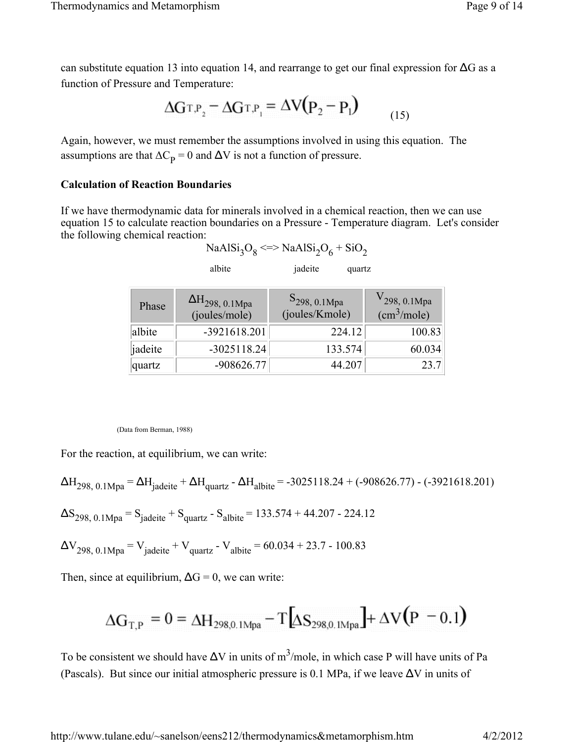can substitute equation 13 into equation 14, and rearrange to get our final expression for  $\Delta G$  as a function of Pressure and Temperature:

$$
\Delta G T.P_2 = \Delta G T.P_1 = \Delta V (P_2 - P_1) \tag{15}
$$

Again, however, we must remember the assumptions involved in using this equation. The assumptions are that  $\Delta C_p = 0$  and  $\Delta V$  is not a function of pressure.

#### **Calculation of Reaction Boundaries**

If we have thermodynamic data for minerals involved in a chemical reaction, then we can use equation 15 to calculate reaction boundaries on a Pressure - Temperature diagram. Let's consider the following chemical reaction:

| NaAlSi <sub>3</sub> O <sub>8</sub> <=> NaAlSi <sub>2</sub> O <sub>6</sub> + SiO <sub>2</sub> |  |
|----------------------------------------------------------------------------------------------|--|
|----------------------------------------------------------------------------------------------|--|

albite *jadeite* quartz

| Phase   | $\Delta H_{298,~0.1 \text{Mpa}}$<br>(joules/mole) | $S_{298, 0.1Mpa}$<br>(joules/Kmole) | $V_{298, 0.1 \text{Mpa}}$<br>$\text{ (cm}^3\text{/mole)}$ |
|---------|---------------------------------------------------|-------------------------------------|-----------------------------------------------------------|
| albite  | -3921618.201                                      | 224.12                              | 100.83                                                    |
| jadeite | $-3025118.24$                                     | 133.574                             | 60.034                                                    |
| quartz  | $-908626.77$                                      | 44.207                              | 23.7                                                      |

#### (Data from Berman, 1988)

For the reaction, at equilibrium, we can write:

$$
\Delta H_{298, 0.1 \text{Mpa}} = \Delta H_{\text{jadeite}} + \Delta H_{\text{quartz}} - \Delta H_{\text{albite}} = -3025118.24 + (-908626.77) - (-3921618.201)
$$
  
\n
$$
\Delta S_{298, 0.1 \text{Mpa}} = S_{\text{jadeite}} + S_{\text{quartz}} - S_{\text{albite}} = 133.574 + 44.207 - 224.12
$$
  
\n
$$
\Delta V_{298, 0.1 \text{Mpa}} = V_{\text{jadeite}} + V_{\text{quartz}} - V_{\text{albite}} = 60.034 + 23.7 - 100.83
$$

Then, since at equilibrium,  $\Delta G = 0$ , we can write:

$$
\Delta G_{\text{T,P}} = 0 = \Delta H_{298,0.1 \text{Mpa}} - T \left[ \Delta S_{298,0.1 \text{Mpa}} \right] + \Delta V \left( \text{P}^{-1} \text{O.1} \right)
$$

To be consistent we should have  $\Delta V$  in units of  $m^3$ /mole, in which case P will have units of Pa (Pascals). But since our initial atmospheric pressure is 0.1 MPa, if we leave  $\Delta V$  in units of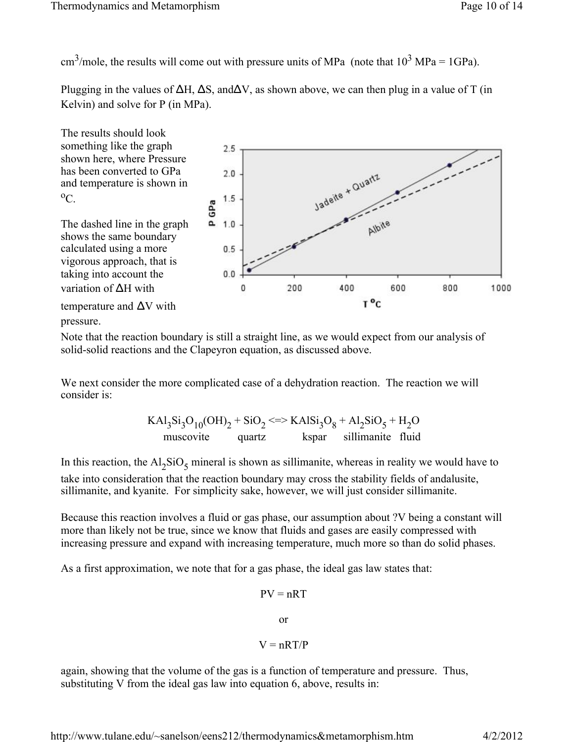cm<sup>3</sup>/mole, the results will come out with pressure units of MPa (note that  $10^3$  MPa = 1GPa).

Plugging in the values of  $\Delta H$ ,  $\Delta S$ , and  $\Delta V$ , as shown above, we can then plug in a value of T (in Kelvin) and solve for P (in MPa).



Note that the reaction boundary is still a straight line, as we would expect from our analysis of solid-solid reactions and the Clapeyron equation, as discussed above.

We next consider the more complicated case of a dehydration reaction. The reaction we will consider is:

$$
KAI3Si3O10(OH)2 + SiO2 <= > KAISi3O8 + Al2SiO5 + H2O
$$
  
muscovite  
quartz  
kspar  
sillimantic fluid

In this reaction, the  $Al_2SiO_5$  mineral is shown as sillimanite, whereas in reality we would have to take into consideration that the reaction boundary may cross the stability fields of andalusite, sillimanite, and kyanite. For simplicity sake, however, we will just consider sillimanite.

Because this reaction involves a fluid or gas phase, our assumption about ?V being a constant will more than likely not be true, since we know that fluids and gases are easily compressed with increasing pressure and expand with increasing temperature, much more so than do solid phases.

As a first approximation, we note that for a gas phase, the ideal gas law states that:

$$
PV = nRT
$$

or

$$
V=nRT/P
$$

again, showing that the volume of the gas is a function of temperature and pressure. Thus, substituting V from the ideal gas law into equation 6, above, results in: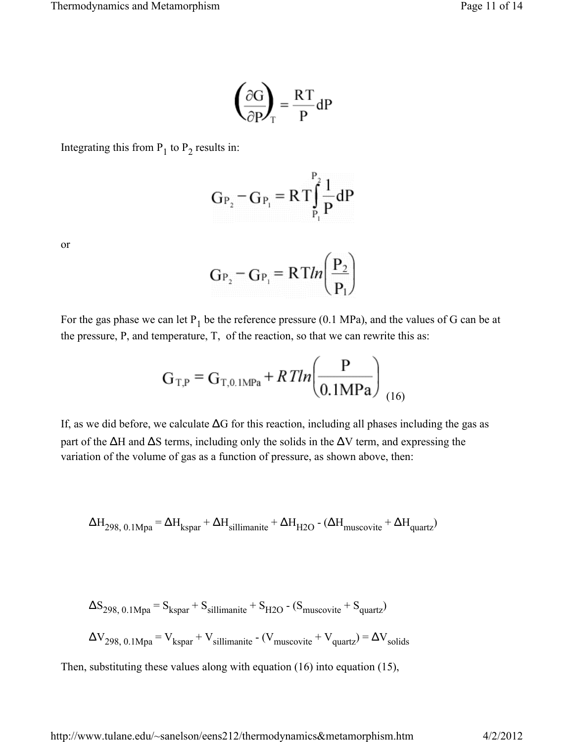$$
\left(\frac{\partial G}{\partial P}\right)_T = \frac{RT}{P}dP
$$

Integrating this from  $P_1$  to  $P_2$  results in:

$$
G_{P_2} - G_{P_1} = RT \int_{P_1}^{P_2} \frac{1}{P} dP
$$

or

$$
G_{P_2} - G_{P_1} = RTln\left(\frac{P_2}{P_1}\right)
$$

For the gas phase we can let  $P_1$  be the reference pressure (0.1 MPa), and the values of G can be at the pressure, P, and temperature, T, of the reaction, so that we can rewrite this as:

$$
G_{T,P} = G_{T,0.1MPa} + RTln\left(\frac{P}{0.1MPa}\right)_{(16)}
$$

If, as we did before, we calculate  $\Delta G$  for this reaction, including all phases including the gas as part of the  $\Delta H$  and  $\Delta S$  terms, including only the solids in the  $\Delta V$  term, and expressing the variation of the volume of gas as a function of pressure, as shown above, then:

$$
\Delta H_{298,~0.1} \text{M} \text{p} \text{a} = \Delta H_{\text{kspar}} + \Delta H_{\text{sillimanite}} + \Delta H_{\text{H2O}} - (\Delta H_{\text{muscovite}} + \Delta H_{\text{quartz}})
$$

$$
\Delta S_{298, 0.1 \text{Mpa}} = S_{\text{kspar}} + S_{\text{sillimanite}} + S_{\text{H2O}} - (S_{\text{muscovite}} + S_{\text{quartz}})
$$
  

$$
\Delta V_{298, 0.1 \text{Mpa}} = V_{\text{kspar}} + V_{\text{sillimanite}} - (V_{\text{muscovite}} + V_{\text{quartz}}) = \Delta V_{\text{solids}}
$$

Then, substituting these values along with equation (16) into equation (15),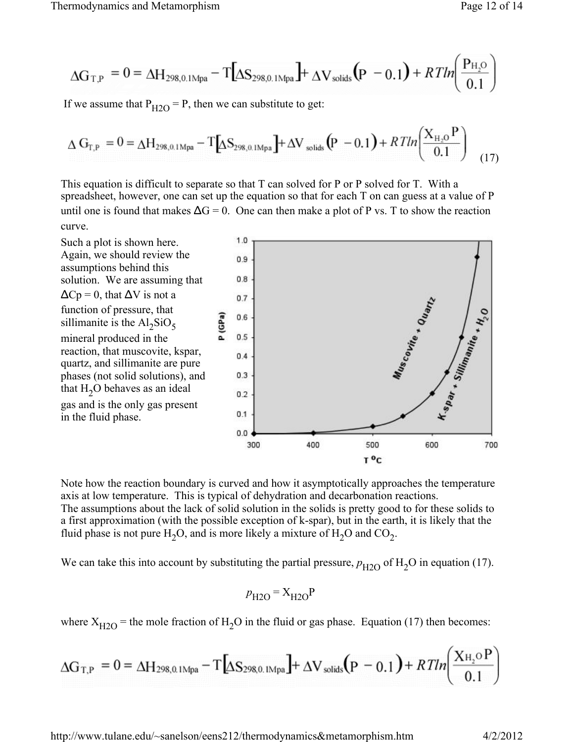$$
\Delta G_{T,P} = 0 = \Delta H_{298,0.1 \text{M} p a} - T[\Delta S_{298,0.1 \text{M} p a}] + \Delta V_{solids} (p - 0.1) + RT ln \left( \frac{P_{H_2O}}{0.1} \right)
$$

If we assume that  $P_{H2O} = P$ , then we can substitute to get:

$$
\Delta G_{T,P} = 0 = \Delta H_{298,0.1 \text{M}p\text{a}} - T \Delta S_{298,0.1 \text{M}p\text{a}} + \Delta V_{\text{solids}} \left( P - 0.1 \right) + RT ln \left( \frac{X_{H_2O} P}{0.1} \right) \tag{17}
$$

This equation is difficult to separate so that T can solved for P or P solved for T. With a spreadsheet, however, one can set up the equation so that for each T on can guess at a value of P until one is found that makes  $\Delta G = 0$ . One can then make a plot of P vs. T to show the reaction curve.



Note how the reaction boundary is curved and how it asymptotically approaches the temperature axis at low temperature. This is typical of dehydration and decarbonation reactions. The assumptions about the lack of solid solution in the solids is pretty good to for these solids to a first approximation (with the possible exception of k-spar), but in the earth, it is likely that the fluid phase is not pure  $H_2O$ , and is more likely a mixture of  $H_2O$  and  $CO_2$ .

We can take this into account by substituting the partial pressure,  $p_{H2O}$  of  $H_2O$  in equation (17).

$$
p_{\text{H2O}} = X_{\text{H2O}} \text{P}
$$

where  $X_{H2O}$  = the mole fraction of H<sub>2</sub>O in the fluid or gas phase. Equation (17) then becomes:

$$
\Delta G_{T,P} = 0 = \Delta H_{298,0.1 \text{Mpa}} - T \left[ \Delta S_{298,0.1 \text{Mpa}} \right] + \Delta V_{solids} \left( P - 0.1 \right) + RT/n \left( \frac{X_{H_2} \circ P}{0.1} \right)
$$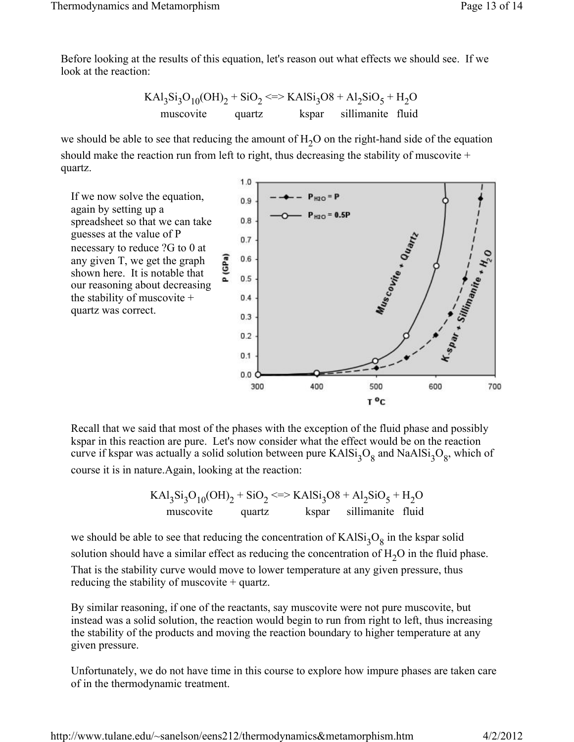Before looking at the results of this equation, let's reason out what effects we should see. If we look at the reaction:

$$
KA13Si3O10(OH)2 + SiO2 <5>KAlSi3O8 + Al2SiO5 + H2O
$$
  
muscovite quartz  
kspar sillimanite fluid

we should be able to see that reducing the amount of  $H_2O$  on the right-hand side of the equation should make the reaction run from left to right, thus decreasing the stability of muscovite + quartz.

P (GPa)

If we now solve the equation, again by setting up a spreadsheet so that we can take guesses at the value of P necessary to reduce ?G to 0 at any given T, we get the graph shown here. It is notable that our reasoning about decreasing the stability of muscovite + quartz was correct.



Recall that we said that most of the phases with the exception of the fluid phase and possibly kspar in this reaction are pure. Let's now consider what the effect would be on the reaction curve if kspar was actually a solid solution between pure  $KAlSi<sub>3</sub>O<sub>8</sub>$  and  $NaAlSi<sub>3</sub>O<sub>8</sub>$ , which of course it is in nature.Again, looking at the reaction:

$$
KAI_{3}Si_{3}O_{10}(OH)_{2} + SiO_{2} \leq \Rightarrow KAISi_{3}O8 + Al_{2}SiO_{5} + H_{2}O
$$
  
muscovite  
quartz  
kspar  
 sillimanite fluid

we should be able to see that reducing the concentration of  $KAlSi<sub>3</sub>O<sub>8</sub>$  in the kspar solid solution should have a similar effect as reducing the concentration of  $H_2O$  in the fluid phase. That is the stability curve would move to lower temperature at any given pressure, thus reducing the stability of muscovite + quartz.

By similar reasoning, if one of the reactants, say muscovite were not pure muscovite, but instead was a solid solution, the reaction would begin to run from right to left, thus increasing the stability of the products and moving the reaction boundary to higher temperature at any given pressure.

Unfortunately, we do not have time in this course to explore how impure phases are taken care of in the thermodynamic treatment.